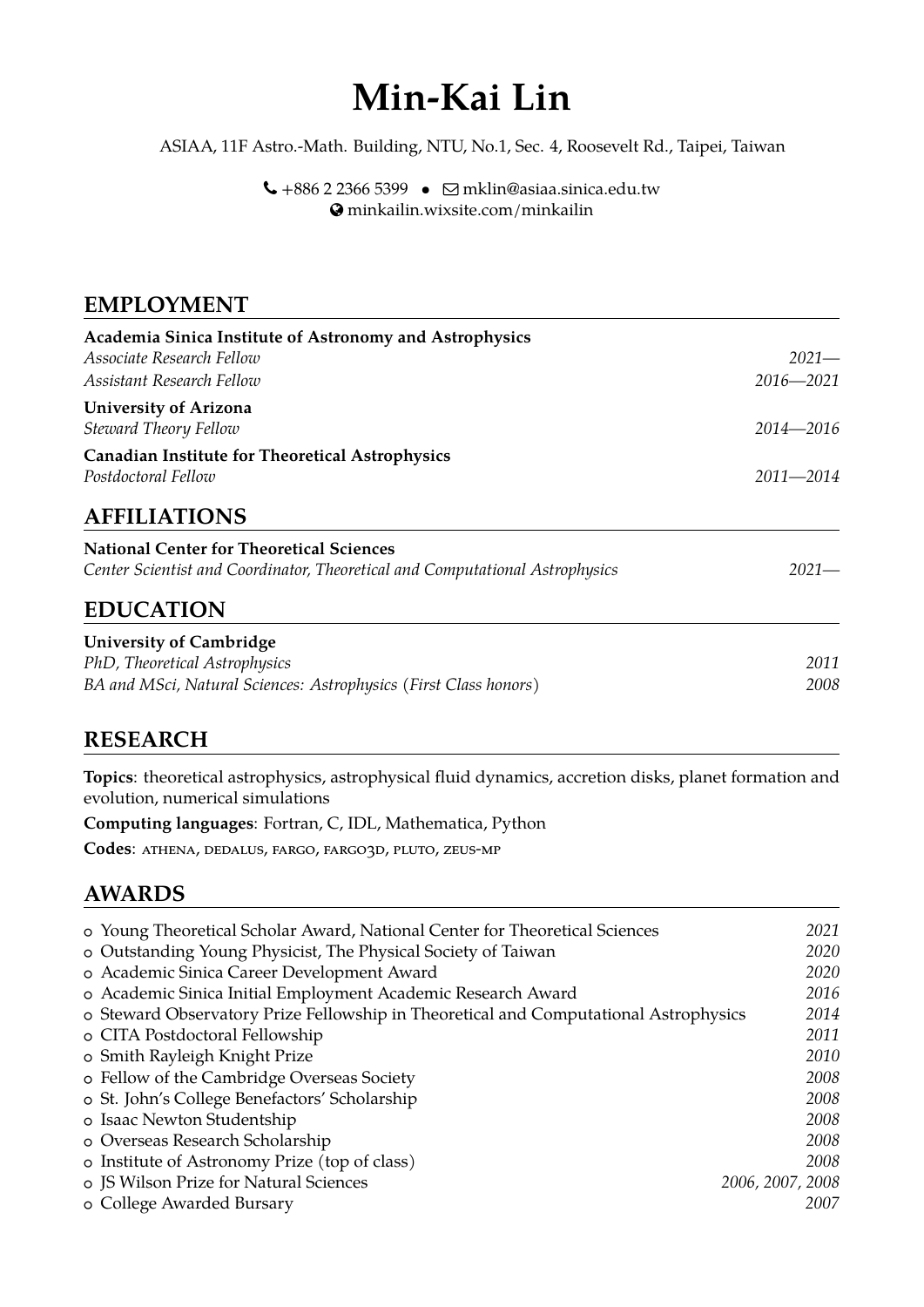# **Min-Kai Lin**

ASIAA, 11F Astro.-Math. Building, NTU, No.1, Sec. 4, Roosevelt Rd., Taipei, Taiwan

 $\bigcup$  +886 2 2366 5399 •  $\Box$  [mklin@asiaa.sinica.edu.tw](mailto:mklin@asiaa.sinica.edu.tw) [minkailin.wixsite.com/minkailin](http://minkailin.wixsite.com/minkailin)

#### **EMPLOYMENT**

| Academia Sinica Institute of Astronomy and Astrophysics                      |               |
|------------------------------------------------------------------------------|---------------|
| Associate Research Fellow                                                    | $2021-$       |
| Assistant Research Fellow                                                    | $2016 - 2021$ |
| <b>University of Arizona</b><br>Steward Theory Fellow                        | 2014—2016     |
| <b>Canadian Institute for Theoretical Astrophysics</b>                       |               |
| Postdoctoral Fellow                                                          | $2011 - 2014$ |
| <b>AFFILIATIONS</b>                                                          |               |
| <b>National Center for Theoretical Sciences</b>                              |               |
| Center Scientist and Coordinator, Theoretical and Computational Astrophysics | $2021-$       |
| <b>EDUCATION</b>                                                             |               |
| <b>University of Cambridge</b>                                               |               |
| PhD, Theoretical Astrophysics                                                | 2011          |
| BA and MSci, Natural Sciences: Astrophysics (First Class honors)             | 2008          |

#### **RESEARCH**

**Topics**: theoretical astrophysics, astrophysical fluid dynamics, accretion disks, planet formation and evolution, numerical simulations

**Computing languages**: Fortran, C, IDL, Mathematica, Python

Codes: ATHENA, DEDALUS, FARGO, FARGO3D, PLUTO, ZEUS-MP

#### **AWARDS**

| o Young Theoretical Scholar Award, National Center for Theoretical Sciences          | 2021             |
|--------------------------------------------------------------------------------------|------------------|
| o Outstanding Young Physicist, The Physical Society of Taiwan                        | 2020             |
| o Academic Sinica Career Development Award                                           | 2020             |
| o Academic Sinica Initial Employment Academic Research Award                         | 2016             |
| o Steward Observatory Prize Fellowship in Theoretical and Computational Astrophysics | 2014             |
| o CITA Postdoctoral Fellowship                                                       | 2011             |
| o Smith Rayleigh Knight Prize                                                        | 2010             |
| o Fellow of the Cambridge Overseas Society                                           | 2008             |
| o St. John's College Benefactors' Scholarship                                        | 2008             |
| o Isaac Newton Studentship                                                           | 2008             |
| o Overseas Research Scholarship                                                      | 2008             |
| o Institute of Astronomy Prize (top of class)                                        | 2008             |
| o JS Wilson Prize for Natural Sciences                                               | 2006, 2007, 2008 |
| o College Awarded Bursary                                                            | 2007             |
|                                                                                      |                  |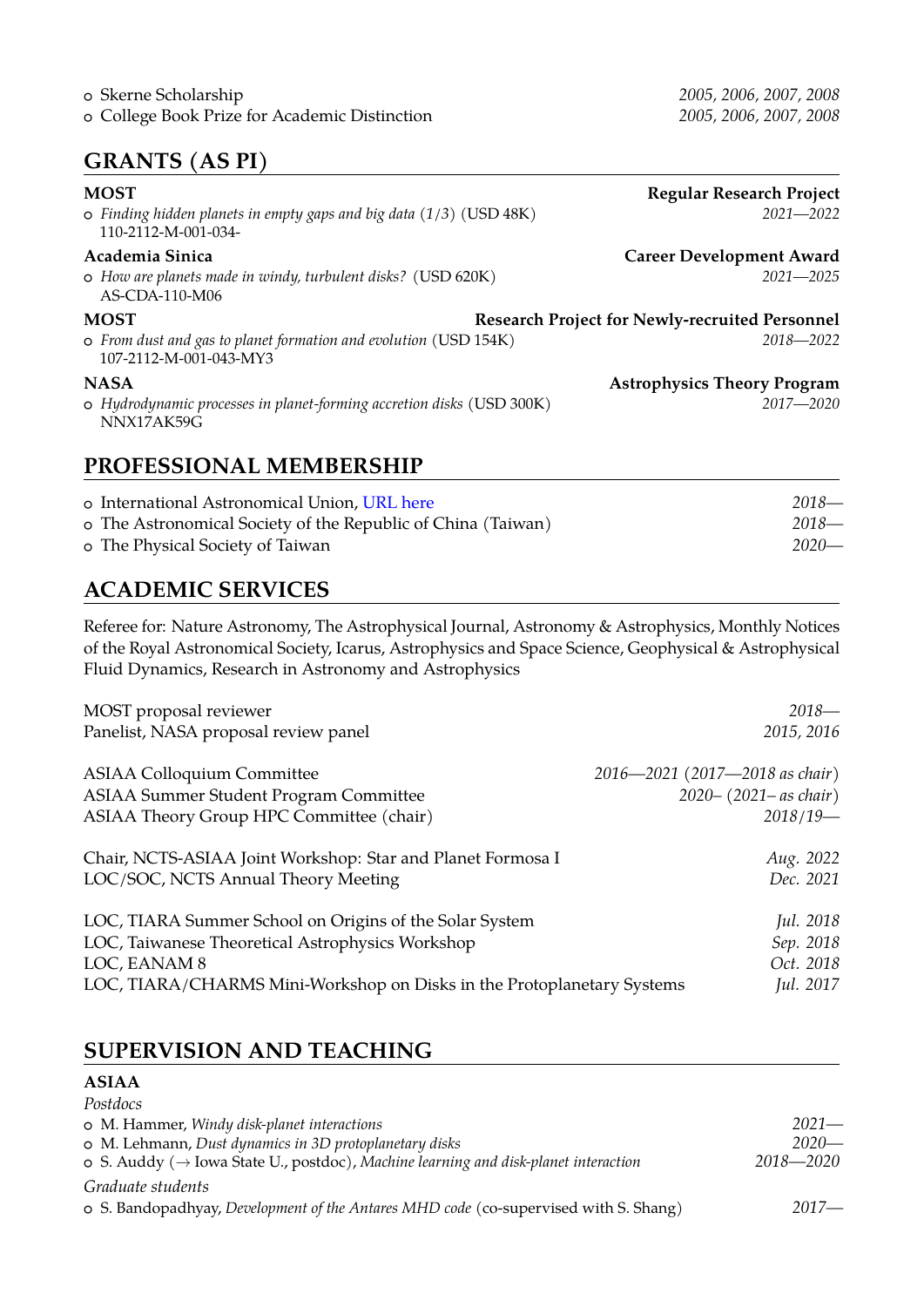### **GRANTS (AS PI)**

| <b>MOST</b><br>$\circ$ Finding hidden planets in empty gaps and big data (1/3) (USD 48K)<br>110-2112-M-001-034- | <b>Regular Research Project</b><br>$2021 - 2022$                       |
|-----------------------------------------------------------------------------------------------------------------|------------------------------------------------------------------------|
| Academia Sinica<br>o How are planets made in windy, turbulent disks? (USD 620K)<br>AS-CDA-110-M06               | <b>Career Development Award</b><br>$2021 - 2025$                       |
| <b>MOST</b><br>o From dust and gas to planet formation and evolution (USD 154K)<br>107-2112-M-001-043-MY3       | <b>Research Project for Newly-recruited Personnel</b><br>$2018 - 2022$ |
| <b>NASA</b><br>o Hydrodynamic processes in planet-forming accretion disks (USD 300K)<br>NNX17AK59G              | <b>Astrophysics Theory Program</b><br>$2017 - 2020$                    |

#### **PROFESSIONAL MEMBERSHIP**

| o International Astronomical Union, URL here                 | 2018—   |
|--------------------------------------------------------------|---------|
| o The Astronomical Society of the Republic of China (Taiwan) | 2018—   |
| o The Physical Society of Taiwan                             | $2020-$ |

### **ACADEMIC SERVICES**

Referee for: Nature Astronomy, The Astrophysical Journal, Astronomy & Astrophysics, Monthly Notices of the Royal Astronomical Society, Icarus, Astrophysics and Space Science, Geophysical & Astrophysical Fluid Dynamics, Research in Astronomy and Astrophysics

| MOST proposal reviewer                                                 | $2018-$                        |
|------------------------------------------------------------------------|--------------------------------|
| Panelist, NASA proposal review panel                                   | 2015, 2016                     |
| <b>ASIAA Colloquium Committee</b>                                      | 2016–2021 (2017–2018 as chair) |
| <b>ASIAA Summer Student Program Committee</b>                          | $2020 - (2021 - as chair)$     |
| ASIAA Theory Group HPC Committee (chair)                               | $2018/19-$                     |
| Chair, NCTS-ASIAA Joint Workshop: Star and Planet Formosa I            | Aug. 2022                      |
| LOC/SOC, NCTS Annual Theory Meeting                                    | Dec. 2021                      |
| LOC, TIARA Summer School on Origins of the Solar System                | Jul. 2018                      |
| LOC, Taiwanese Theoretical Astrophysics Workshop                       | Sep. 2018                      |
| LOC, EANAM 8                                                           | Oct. 2018                      |
| LOC, TIARA/CHARMS Mini-Workshop on Disks in the Protoplanetary Systems | Jul. 2017                      |

### **SUPERVISION AND TEACHING**

| <b>ASIAA</b>                                                                                     |           |
|--------------------------------------------------------------------------------------------------|-----------|
| Postdocs                                                                                         |           |
| o M. Hammer, Windy disk-planet interactions                                                      | $2021-$   |
| o M. Lehmann, Dust dynamics in 3D protoplanetary disks                                           | $2020-$   |
| o S. Auddy ( $\rightarrow$ Iowa State U., postdoc), Machine learning and disk-planet interaction | 2018—2020 |
| Graduate students                                                                                |           |
| o S. Bandopadhyay, Development of the Antares MHD code (co-supervised with S. Shang)             | $2017-$   |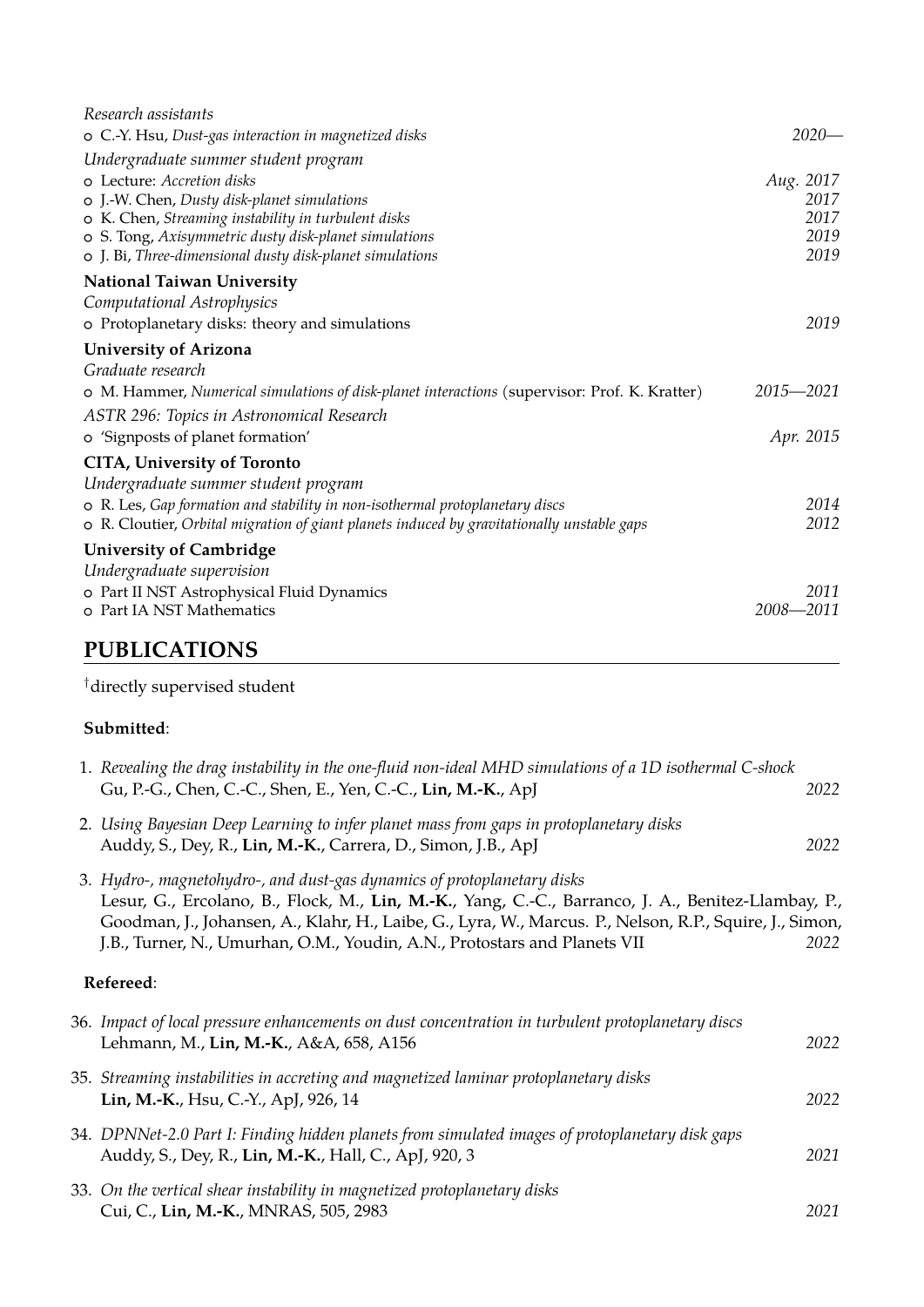| Research assistants                                                                           |              |
|-----------------------------------------------------------------------------------------------|--------------|
| o C.-Y. Hsu, Dust-gas interaction in magnetized disks                                         | $2020-$      |
| Undergraduate summer student program                                                          |              |
| o Lecture: Accretion disks                                                                    | Aug. 2017    |
| o J.-W. Chen, Dusty disk-planet simulations                                                   | 2017         |
| o K. Chen, Streaming instability in turbulent disks                                           | 2017         |
| o S. Tong, Axisymmetric dusty disk-planet simulations                                         | 2019<br>2019 |
| o J. Bi, Three-dimensional dusty disk-planet simulations                                      |              |
| <b>National Taiwan University</b>                                                             |              |
| Computational Astrophysics                                                                    |              |
| o Protoplanetary disks: theory and simulations                                                | 2019         |
| <b>University of Arizona</b>                                                                  |              |
| Graduate research                                                                             |              |
| o M. Hammer, Numerical simulations of disk-planet interactions (supervisor: Prof. K. Kratter) | 2015-2021    |
| ASTR 296: Topics in Astronomical Research                                                     |              |
| o 'Signposts of planet formation'                                                             | Apr. 2015    |
| <b>CITA, University of Toronto</b>                                                            |              |
| Undergraduate summer student program                                                          |              |
| o R. Les, Gap formation and stability in non-isothermal protoplanetary discs                  | 2014         |
| o R. Cloutier, Orbital migration of giant planets induced by gravitationally unstable gaps    | 2012         |
| <b>University of Cambridge</b>                                                                |              |
| Undergraduate supervision                                                                     |              |
| o Part II NST Astrophysical Fluid Dynamics                                                    | 2011         |
| o Part IA NST Mathematics                                                                     | 2008-2011    |
|                                                                                               |              |

## **PUBLICATIONS**

 $^\dagger$  directly supervised student

#### **Submitted**:

| 1. Revealing the drag instability in the one-fluid non-ideal MHD simulations of a 1D isothermal C-shock<br>Gu, P.-G., Chen, C.-C., Shen, E., Yen, C.-C., Lin, M.-K., ApJ                                                                                                                                                                                              | 2022 |
|-----------------------------------------------------------------------------------------------------------------------------------------------------------------------------------------------------------------------------------------------------------------------------------------------------------------------------------------------------------------------|------|
| 2. Using Bayesian Deep Learning to infer planet mass from gaps in protoplanetary disks<br>Auddy, S., Dey, R., Lin, M.-K., Carrera, D., Simon, J.B., ApJ                                                                                                                                                                                                               | 2022 |
| 3. Hydro-, magnetohydro-, and dust-gas dynamics of protoplanetary disks<br>Lesur, G., Ercolano, B., Flock, M., Lin, M.-K., Yang, C.-C., Barranco, J. A., Benitez-Llambay, P.,<br>Goodman, J., Johansen, A., Klahr, H., Laibe, G., Lyra, W., Marcus. P., Nelson, R.P., Squire, J., Simon,<br>J.B., Turner, N., Umurhan, O.M., Youdin, A.N., Protostars and Planets VII | 2022 |
| Refereed:                                                                                                                                                                                                                                                                                                                                                             |      |
| 36. Impact of local pressure enhancements on dust concentration in turbulent protoplanetary discs<br>Lehmann, M., Lin, M.-K., A&A, 658, A156                                                                                                                                                                                                                          | 2022 |
| 35. Streaming instabilities in accreting and magnetized laminar protoplanetary disks<br>Lin, M.-K., Hsu, C.-Y., ApJ, 926, 14                                                                                                                                                                                                                                          | 2022 |
| 34. DPNNet-2.0 Part I: Finding hidden planets from simulated images of protoplanetary disk gaps<br>Auddy, S., Dey, R., Lin, M.-K., Hall, C., ApJ, 920, 3                                                                                                                                                                                                              | 2021 |
| 33. On the vertical shear instability in magnetized protoplanetary disks<br>Cui, C., Lin, M.-K., MNRAS, 505, 2983                                                                                                                                                                                                                                                     | 2021 |
|                                                                                                                                                                                                                                                                                                                                                                       |      |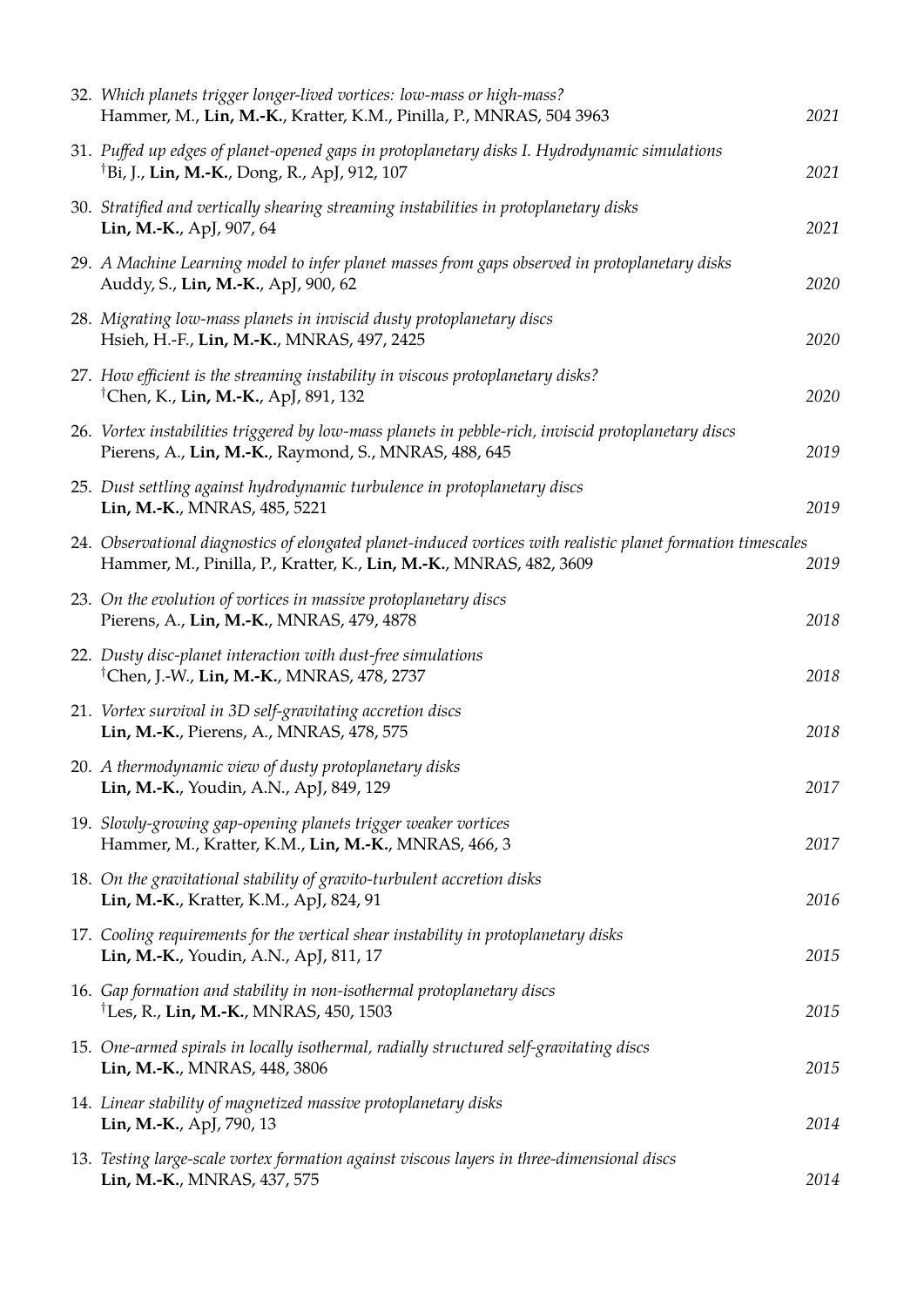| 32. Which planets trigger longer-lived vortices: low-mass or high-mass?<br>Hammer, M., Lin, M.-K., Kratter, K.M., Pinilla, P., MNRAS, 504 3963                                      | 2021 |
|-------------------------------------------------------------------------------------------------------------------------------------------------------------------------------------|------|
| 31. Puffed up edges of planet-opened gaps in protoplanetary disks I. Hydrodynamic simulations<br><sup>†</sup> Bi, J., Lin, M.-K., Dong, R., ApJ, 912, 107                           | 2021 |
| 30. Stratified and vertically shearing streaming instabilities in protoplanetary disks<br>Lin, M.-K., ApJ, 907, 64                                                                  | 2021 |
| 29. A Machine Learning model to infer planet masses from gaps observed in protoplanetary disks<br>Auddy, S., Lin, M.-K., ApJ, 900, 62                                               | 2020 |
| 28. Migrating low-mass planets in inviscid dusty protoplanetary discs<br>Hsieh, H.-F., Lin, M.-K., MNRAS, 497, 2425                                                                 | 2020 |
| 27. How efficient is the streaming instability in viscous protoplanetary disks?<br><sup>†</sup> Chen, K., Lin, M.-K., ApJ, 891, 132                                                 | 2020 |
| 26. Vortex instabilities triggered by low-mass planets in pebble-rich, inviscid protoplanetary discs<br>Pierens, A., Lin, M.-K., Raymond, S., MNRAS, 488, 645                       | 2019 |
| 25. Dust settling against hydrodynamic turbulence in protoplanetary discs<br>Lin, M.-K., MNRAS, 485, 5221                                                                           | 2019 |
| 24. Observational diagnostics of elongated planet-induced vortices with realistic planet formation timescales<br>Hammer, M., Pinilla, P., Kratter, K., Lin, M.-K., MNRAS, 482, 3609 | 2019 |
| 23. On the evolution of vortices in massive protoplanetary discs<br>Pierens, A., Lin, M.-K., MNRAS, 479, 4878                                                                       | 2018 |
| 22. Dusty disc-planet interaction with dust-free simulations<br><sup>†</sup> Chen, J.-W., Lin, M.-K., MNRAS, 478, 2737                                                              | 2018 |
| 21. Vortex survival in 3D self-gravitating accretion discs<br>Lin, M.-K., Pierens, A., MNRAS, 478, 575                                                                              | 2018 |
| 20. A thermodynamic view of dusty protoplanetary disks<br>Lin, M.-K., Youdin, A.N., ApJ, 849, 129                                                                                   | 2017 |
| 19. Slowly-growing gap-opening planets trigger weaker vortices<br>Hammer, M., Kratter, K.M., Lin, M.-K., MNRAS, 466, 3                                                              | 2017 |
| 18. On the gravitational stability of gravito-turbulent accretion disks<br>Lin, M.-K., Kratter, K.M., ApJ, 824, 91                                                                  | 2016 |
| 17. Cooling requirements for the vertical shear instability in protoplanetary disks<br>Lin, M.-K., Youdin, A.N., ApJ, 811, 17                                                       | 2015 |
| 16. Gap formation and stability in non-isothermal protoplanetary discs<br><sup>†</sup> Les, R., Lin, M.-K., MNRAS, 450, 1503                                                        | 2015 |
| 15. One-armed spirals in locally isothermal, radially structured self-gravitating discs<br>Lin, M.-K., MNRAS, 448, 3806                                                             | 2015 |
| 14. Linear stability of magnetized massive protoplanetary disks<br>Lin, M.-K., ApJ, 790, 13                                                                                         | 2014 |
| 13. Testing large-scale vortex formation against viscous layers in three-dimensional discs<br>Lin, M.-K., MNRAS, 437, 575                                                           | 2014 |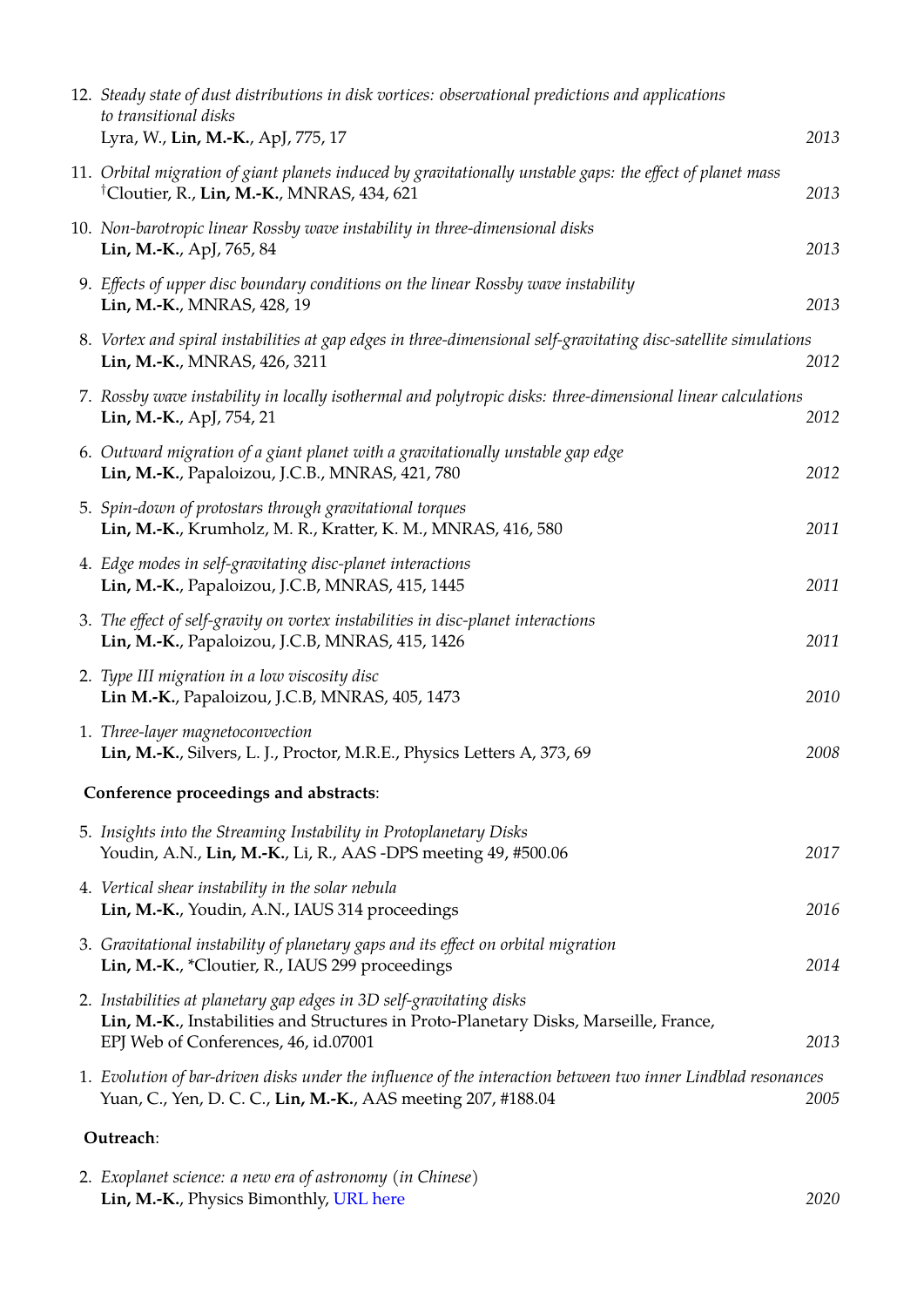| 12. Steady state of dust distributions in disk vortices: observational predictions and applications<br>to transitional disks<br>Lyra, W., Lin, M.-K., ApJ, 775, 17                                    | 2013 |  |  |
|-------------------------------------------------------------------------------------------------------------------------------------------------------------------------------------------------------|------|--|--|
| 11. Orbital migration of giant planets induced by gravitationally unstable gaps: the effect of planet mass<br><sup>†</sup> Cloutier, R., Lin, M.-K., MNRAS, 434, 621                                  | 2013 |  |  |
| 10. Non-barotropic linear Rossby wave instability in three-dimensional disks<br>Lin, M.-K., ApJ, 765, 84                                                                                              | 2013 |  |  |
| 9. Effects of upper disc boundary conditions on the linear Rossby wave instability<br>Lin, M.-K., MNRAS, 428, 19                                                                                      | 2013 |  |  |
| 8. Vortex and spiral instabilities at gap edges in three-dimensional self-gravitating disc-satellite simulations<br>Lin, M.-K., MNRAS, 426, 3211                                                      | 2012 |  |  |
| 7. Rossby wave instability in locally isothermal and polytropic disks: three-dimensional linear calculations<br>Lin, M.-K., ApJ, 754, 21                                                              | 2012 |  |  |
| 6. Outward migration of a giant planet with a gravitationally unstable gap edge<br>Lin, M.-K., Papaloizou, J.C.B., MNRAS, 421, 780                                                                    | 2012 |  |  |
| 5. Spin-down of protostars through gravitational torques<br>Lin, M.-K., Krumholz, M. R., Kratter, K. M., MNRAS, 416, 580                                                                              | 2011 |  |  |
| 4. Edge modes in self-gravitating disc-planet interactions<br>Lin, M.-K., Papaloizou, J.C.B, MNRAS, 415, 1445                                                                                         | 2011 |  |  |
| 3. The effect of self-gravity on vortex instabilities in disc-planet interactions<br>Lin, M.-K., Papaloizou, J.C.B, MNRAS, 415, 1426                                                                  | 2011 |  |  |
| 2. Type III migration in a low viscosity disc<br>Lin M.-K., Papaloizou, J.C.B, MNRAS, 405, 1473                                                                                                       | 2010 |  |  |
| 1. Three-layer magnetoconvection<br>Lin, M.-K., Silvers, L. J., Proctor, M.R.E., Physics Letters A, 373, 69                                                                                           | 2008 |  |  |
| Conference proceedings and abstracts:                                                                                                                                                                 |      |  |  |
| 5. Insights into the Streaming Instability in Protoplanetary Disks<br>Youdin, A.N., Lin, M.-K., Li, R., AAS -DPS meeting 49, #500.06                                                                  | 2017 |  |  |
| 4. Vertical shear instability in the solar nebula<br>Lin, M.-K., Youdin, A.N., IAUS 314 proceedings                                                                                                   | 2016 |  |  |
| 3. Gravitational instability of planetary gaps and its effect on orbital migration<br>Lin, M.-K., *Cloutier, R., IAUS 299 proceedings                                                                 | 2014 |  |  |
| 2. Instabilities at planetary gap edges in 3D self-gravitating disks<br>Lin, M.-K., Instabilities and Structures in Proto-Planetary Disks, Marseille, France,<br>EPJ Web of Conferences, 46, id.07001 | 2013 |  |  |
| 1. Evolution of bar-driven disks under the influence of the interaction between two inner Lindblad resonances<br>Yuan, C., Yen, D. C. C., Lin, M.-K., AAS meeting 207, #188.04                        | 2005 |  |  |
| Outreach:                                                                                                                                                                                             |      |  |  |

| 2. Exoplanet science: a new era of astronomy (in Chinese) |      |
|-----------------------------------------------------------|------|
| <b>Lin, M.-K., Physics Bimonthly, URL here</b>            | 2020 |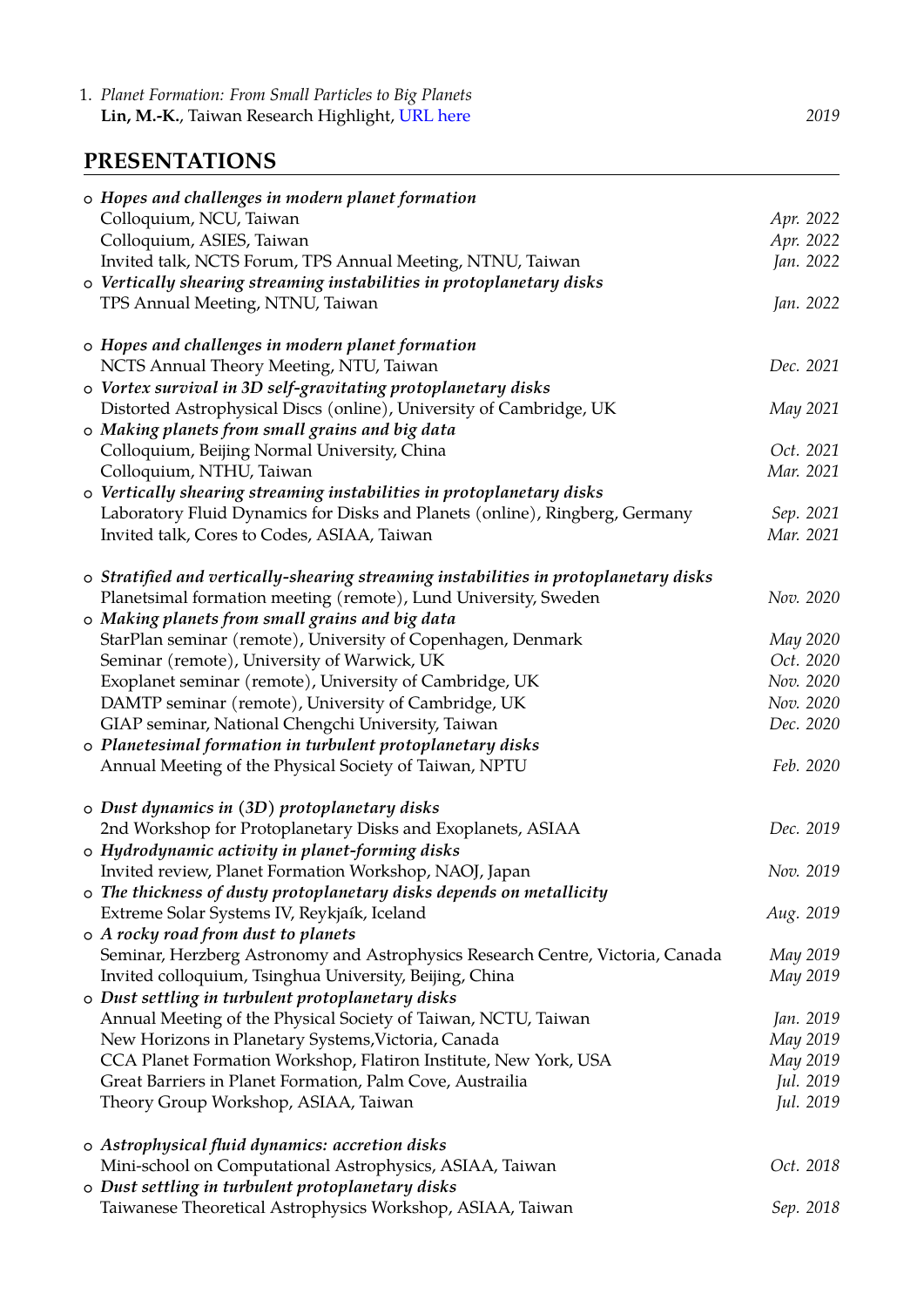1. *Planet Formation: From Small Particles to Big Planets* **Lin, M.-K.**, Taiwan Research Highlight, [URL here](http://trh.gase.most.ntnu.edu.tw/en/article/content/30) *2019*

#### **PRESENTATIONS**

| o Hopes and challenges in modern planet formation                                    |           |
|--------------------------------------------------------------------------------------|-----------|
| Colloquium, NCU, Taiwan                                                              | Apr. 2022 |
| Colloquium, ASIES, Taiwan                                                            | Apr. 2022 |
| Invited talk, NCTS Forum, TPS Annual Meeting, NTNU, Taiwan                           | Jan. 2022 |
| o Vertically shearing streaming instabilities in protoplanetary disks                |           |
| TPS Annual Meeting, NTNU, Taiwan                                                     | Jan. 2022 |
| o Hopes and challenges in modern planet formation                                    |           |
| NCTS Annual Theory Meeting, NTU, Taiwan                                              | Dec. 2021 |
| o Vortex survival in 3D self-gravitating protoplanetary disks                        |           |
| Distorted Astrophysical Discs (online), University of Cambridge, UK                  | May 2021  |
| o Making planets from small grains and big data                                      |           |
| Colloquium, Beijing Normal University, China                                         | Oct. 2021 |
| Colloquium, NTHU, Taiwan                                                             | Mar. 2021 |
| o Vertically shearing streaming instabilities in protoplanetary disks                |           |
| Laboratory Fluid Dynamics for Disks and Planets (online), Ringberg, Germany          | Sep. 2021 |
| Invited talk, Cores to Codes, ASIAA, Taiwan                                          | Mar. 2021 |
| o Stratified and vertically-shearing streaming instabilities in protoplanetary disks |           |
| Planetsimal formation meeting (remote), Lund University, Sweden                      | Nov. 2020 |
| o Making planets from small grains and big data                                      |           |
| StarPlan seminar (remote), University of Copenhagen, Denmark                         | May 2020  |
| Seminar (remote), University of Warwick, UK                                          | Oct. 2020 |
| Exoplanet seminar (remote), University of Cambridge, UK                              | Nov. 2020 |
| DAMTP seminar (remote), University of Cambridge, UK                                  | Nov. 2020 |
| GIAP seminar, National Chengchi University, Taiwan                                   | Dec. 2020 |
| o Planetesimal formation in turbulent protoplanetary disks                           |           |
| Annual Meeting of the Physical Society of Taiwan, NPTU                               | Feb. 2020 |
| o Dust dynamics in (3D) protoplanetary disks                                         |           |
| 2nd Workshop for Protoplanetary Disks and Exoplanets, ASIAA                          | Dec. 2019 |
| o Hydrodynamic activity in planet-forming disks                                      |           |
| Invited review, Planet Formation Workshop, NAOJ, Japan                               | Nov. 2019 |
| o The thickness of dusty protoplanetary disks depends on metallicity                 |           |
| Extreme Solar Systems IV, Reykjaík, Iceland                                          | Aug. 2019 |
| o A rocky road from dust to planets                                                  |           |
| Seminar, Herzberg Astronomy and Astrophysics Research Centre, Victoria, Canada       | May 2019  |
| Invited colloquium, Tsinghua University, Beijing, China                              | May 2019  |
| o Dust settling in turbulent protoplanetary disks                                    |           |
| Annual Meeting of the Physical Society of Taiwan, NCTU, Taiwan                       | Jan. 2019 |
| New Horizons in Planetary Systems, Victoria, Canada                                  | May 2019  |
| CCA Planet Formation Workshop, Flatiron Institute, New York, USA                     | May 2019  |
| Great Barriers in Planet Formation, Palm Cove, Austrailia                            | Jul. 2019 |
| Theory Group Workshop, ASIAA, Taiwan                                                 | Jul. 2019 |
| o Astrophysical fluid dynamics: accretion disks                                      |           |
| Mini-school on Computational Astrophysics, ASIAA, Taiwan                             | Oct. 2018 |
| o Dust settling in turbulent protoplanetary disks                                    |           |
| Taiwanese Theoretical Astrophysics Workshop, ASIAA, Taiwan                           | Sep. 2018 |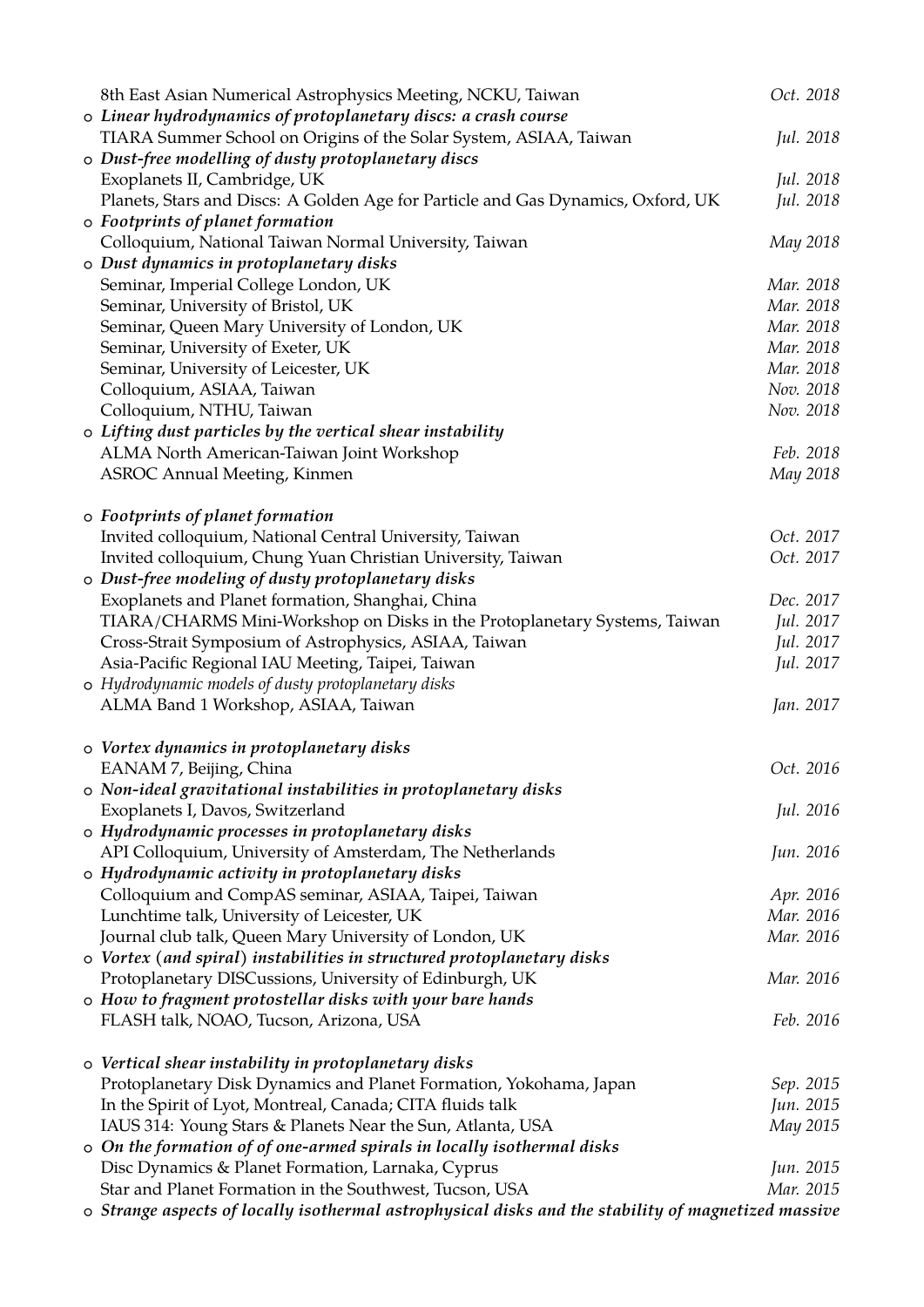|  | 8th East Asian Numerical Astrophysics Meeting, NCKU, Taiwan                                         | Oct. 2018 |
|--|-----------------------------------------------------------------------------------------------------|-----------|
|  | o Linear hydrodynamics of protoplanetary discs: a crash course                                      |           |
|  | TIARA Summer School on Origins of the Solar System, ASIAA, Taiwan                                   | Jul. 2018 |
|  | o Dust-free modelling of dusty protoplanetary discs                                                 |           |
|  | Exoplanets II, Cambridge, UK                                                                        | Jul. 2018 |
|  | Planets, Stars and Discs: A Golden Age for Particle and Gas Dynamics, Oxford, UK                    | Jul. 2018 |
|  | o Footprints of planet formation                                                                    |           |
|  | Colloquium, National Taiwan Normal University, Taiwan                                               | May 2018  |
|  | o Dust dynamics in protoplanetary disks                                                             |           |
|  | Seminar, Imperial College London, UK                                                                | Mar. 2018 |
|  | Seminar, University of Bristol, UK                                                                  | Mar. 2018 |
|  | Seminar, Queen Mary University of London, UK                                                        | Mar. 2018 |
|  | Seminar, University of Exeter, UK                                                                   | Mar. 2018 |
|  | Seminar, University of Leicester, UK                                                                | Mar. 2018 |
|  | Colloquium, ASIAA, Taiwan                                                                           | Nov. 2018 |
|  | Colloquium, NTHU, Taiwan                                                                            | Nov. 2018 |
|  | o Lifting dust particles by the vertical shear instability                                          |           |
|  | ALMA North American-Taiwan Joint Workshop                                                           | Feb. 2018 |
|  | <b>ASROC Annual Meeting, Kinmen</b>                                                                 | May 2018  |
|  |                                                                                                     |           |
|  | o Footprints of planet formation                                                                    |           |
|  |                                                                                                     | Oct. 2017 |
|  | Invited colloquium, National Central University, Taiwan                                             |           |
|  | Invited colloquium, Chung Yuan Christian University, Taiwan                                         | Oct. 2017 |
|  | o Dust-free modeling of dusty protoplanetary disks                                                  |           |
|  | Exoplanets and Planet formation, Shanghai, China                                                    | Dec. 2017 |
|  | TIARA/CHARMS Mini-Workshop on Disks in the Protoplanetary Systems, Taiwan                           | Jul. 2017 |
|  | Cross-Strait Symposium of Astrophysics, ASIAA, Taiwan                                               | Jul. 2017 |
|  | Asia-Pacific Regional IAU Meeting, Taipei, Taiwan                                                   | Jul. 2017 |
|  | o Hydrodynamic models of dusty protoplanetary disks                                                 |           |
|  | ALMA Band 1 Workshop, ASIAA, Taiwan                                                                 | Jan. 2017 |
|  |                                                                                                     |           |
|  | o Vortex dynamics in protoplanetary disks                                                           |           |
|  | EANAM 7, Beijing, China                                                                             | Oct. 2016 |
|  | o Non-ideal gravitational instabilities in protoplanetary disks                                     |           |
|  | Exoplanets I, Davos, Switzerland                                                                    | Jul. 2016 |
|  | o Hydrodynamic processes in protoplanetary disks                                                    |           |
|  | API Colloquium, University of Amsterdam, The Netherlands                                            | Jun. 2016 |
|  | o Hydrodynamic activity in protoplanetary disks                                                     |           |
|  | Colloquium and CompAS seminar, ASIAA, Taipei, Taiwan                                                | Apr. 2016 |
|  | Lunchtime talk, University of Leicester, UK                                                         | Mar. 2016 |
|  | Journal club talk, Queen Mary University of London, UK                                              | Mar. 2016 |
|  | o Vortex (and spiral) instabilities in structured protoplanetary disks                              |           |
|  | Protoplanetary DISCussions, University of Edinburgh, UK                                             | Mar. 2016 |
|  | o How to fragment protostellar disks with your bare hands                                           |           |
|  | FLASH talk, NOAO, Tucson, Arizona, USA                                                              | Feb. 2016 |
|  |                                                                                                     |           |
|  | o Vertical shear instability in protoplanetary disks                                                |           |
|  | Protoplanetary Disk Dynamics and Planet Formation, Yokohama, Japan                                  | Sep. 2015 |
|  | In the Spirit of Lyot, Montreal, Canada; CITA fluids talk                                           | Jun. 2015 |
|  | IAUS 314: Young Stars & Planets Near the Sun, Atlanta, USA                                          | May 2015  |
|  | o On the formation of of one-armed spirals in locally isothermal disks                              |           |
|  | Disc Dynamics & Planet Formation, Larnaka, Cyprus                                                   | Jun. 2015 |
|  | Star and Planet Formation in the Southwest, Tucson, USA                                             | Mar. 2015 |
|  | o Strange aspects of locally isothermal astrophysical disks and the stability of magnetized massive |           |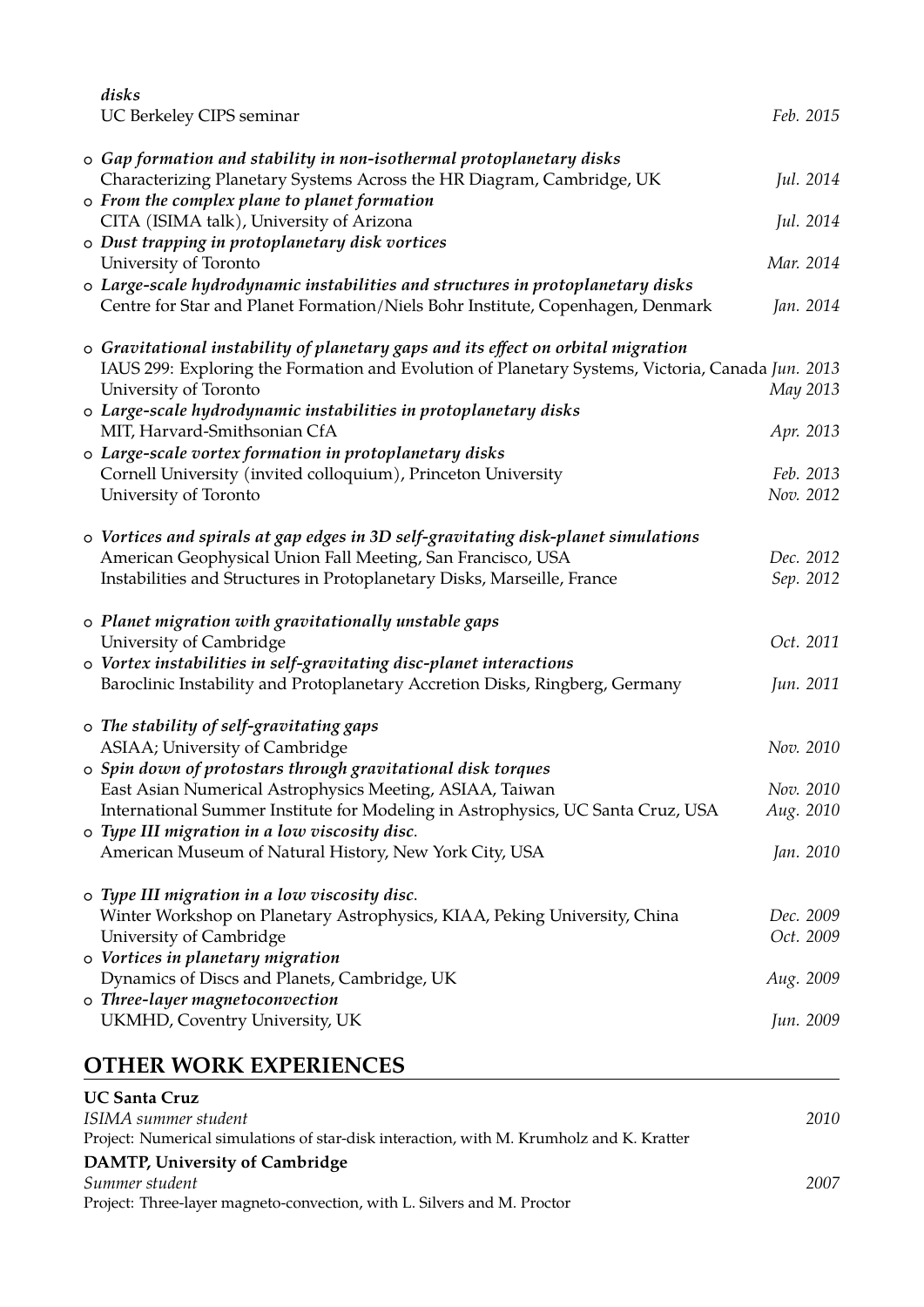| disks<br>UC Berkeley CIPS seminar                                                                                                                                                                              | Feb. 2015 |
|----------------------------------------------------------------------------------------------------------------------------------------------------------------------------------------------------------------|-----------|
| o Gap formation and stability in non-isothermal protoplanetary disks<br>Characterizing Planetary Systems Across the HR Diagram, Cambridge, UK                                                                  | Jul. 2014 |
| o From the complex plane to planet formation                                                                                                                                                                   |           |
| CITA (ISIMA talk), University of Arizona                                                                                                                                                                       | Jul. 2014 |
| o Dust trapping in protoplanetary disk vortices                                                                                                                                                                | Mar. 2014 |
| University of Toronto<br>o Large-scale hydrodynamic instabilities and structures in protoplanetary disks                                                                                                       |           |
| Centre for Star and Planet Formation/Niels Bohr Institute, Copenhagen, Denmark                                                                                                                                 | Jan. 2014 |
| o Gravitational instability of planetary gaps and its effect on orbital migration<br>IAUS 299: Exploring the Formation and Evolution of Planetary Systems, Victoria, Canada Jun. 2013<br>University of Toronto | May 2013  |
| o Large-scale hydrodynamic instabilities in protoplanetary disks                                                                                                                                               |           |
| MIT, Harvard-Smithsonian CfA                                                                                                                                                                                   | Apr. 2013 |
| o Large-scale vortex formation in protoplanetary disks<br>Cornell University (invited colloquium), Princeton University                                                                                        | Feb. 2013 |
| University of Toronto                                                                                                                                                                                          | Nov. 2012 |
|                                                                                                                                                                                                                |           |
| o Vortices and spirals at gap edges in 3D self-gravitating disk-planet simulations                                                                                                                             |           |
| American Geophysical Union Fall Meeting, San Francisco, USA                                                                                                                                                    | Dec. 2012 |
| Instabilities and Structures in Protoplanetary Disks, Marseille, France                                                                                                                                        | Sep. 2012 |
|                                                                                                                                                                                                                |           |
| o Planet migration with gravitationally unstable gaps                                                                                                                                                          |           |
| University of Cambridge                                                                                                                                                                                        | Oct. 2011 |
| o Vortex instabilities in self-gravitating disc-planet interactions<br>Baroclinic Instability and Protoplanetary Accretion Disks, Ringberg, Germany                                                            | Jun. 2011 |
|                                                                                                                                                                                                                |           |
| o The stability of self-gravitating gaps                                                                                                                                                                       |           |
| ASIAA; University of Cambridge                                                                                                                                                                                 | Nov. 2010 |
| o Spin down of protostars through gravitational disk torques                                                                                                                                                   |           |
| East Asian Numerical Astrophysics Meeting, ASIAA, Taiwan                                                                                                                                                       | Nov. 2010 |
| International Summer Institute for Modeling in Astrophysics, UC Santa Cruz, USA                                                                                                                                | Aug. 2010 |
| o Type III migration in a low viscosity disc.                                                                                                                                                                  |           |
| American Museum of Natural History, New York City, USA                                                                                                                                                         | Jan. 2010 |
| o Type III migration in a low viscosity disc.                                                                                                                                                                  |           |
| Winter Workshop on Planetary Astrophysics, KIAA, Peking University, China                                                                                                                                      | Dec. 2009 |
| University of Cambridge                                                                                                                                                                                        | Oct. 2009 |
| o Vortices in planetary migration                                                                                                                                                                              |           |
| Dynamics of Discs and Planets, Cambridge, UK                                                                                                                                                                   | Aug. 2009 |
| o Three-layer magnetoconvection                                                                                                                                                                                |           |
| UKMHD, Coventry University, UK                                                                                                                                                                                 | Jun. 2009 |
| <b>OTHER WORK EXPERIENCES</b>                                                                                                                                                                                  |           |
| <b>UC Santa Cruz</b>                                                                                                                                                                                           |           |
| ISIMA summer student                                                                                                                                                                                           | 2010      |
| Project: Numerical simulations of star-disk interaction, with M. Krumholz and K. Kratter                                                                                                                       |           |

| DAMTP, University of Cambridge                                          |      |
|-------------------------------------------------------------------------|------|
| Summer student                                                          | 2007 |
| Project: Three-layer magneto-convection, with L. Silvers and M. Proctor |      |